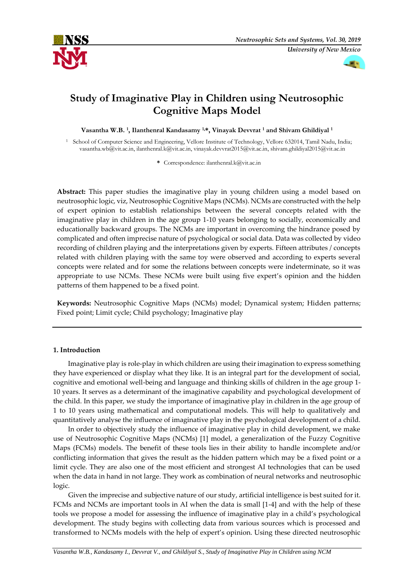



# **Study of Imaginative Play in Children using Neutrosophic Cognitive Maps Model**

**Vasantha W.B. <sup>1</sup> , Ilanthenral Kandasamy 1,\*, Vinayak Devvrat <sup>1</sup> and Shivam Ghildiyal <sup>1</sup>**

<sup>1</sup> School of Computer Science and Engineering, Vellore Institute of Technology, Vellore 632014, Tamil Nadu, India; vasantha.wb@vit.ac.in, ilanthenral.k@vit.ac.in, vinayak.devvrat2015@vit.ac.in, shivam.ghildiyal2015@vit.ac.in

**\*** Correspondence: ilanthenral.k@vit.ac.in

**Abstract:** This paper studies the imaginative play in young children using a model based on neutrosophic logic, viz, Neutrosophic Cognitive Maps (NCMs). NCMs are constructed with the help of expert opinion to establish relationships between the several concepts related with the imaginative play in children in the age group 1-10 years belonging to socially, economically and educationally backward groups. The NCMs are important in overcoming the hindrance posed by complicated and often imprecise nature of psychological or social data. Data was collected by video recording of children playing and the interpretations given by experts. Fifteen attributes / concepts related with children playing with the same toy were observed and according to experts several concepts were related and for some the relations between concepts were indeterminate, so it was appropriate to use NCMs. These NCMs were built using five expert's opinion and the hidden patterns of them happened to be a fixed point.

**Keywords:** Neutrosophic Cognitive Maps (NCMs) model; Dynamical system; Hidden patterns; Fixed point; Limit cycle; Child psychology; Imaginative play

# **1. Introduction**

Imaginative play is role-play in which children are using their imagination to express something they have experienced or display what they like. It is an integral part for the development of social, cognitive and emotional well-being and language and thinking skills of children in the age group 1- 10 years. It serves as a determinant of the imaginative capability and psychological development of the child. In this paper, we study the importance of imaginative play in children in the age group of 1 to 10 years using mathematical and computational models. This will help to qualitatively and quantitatively analyse the influence of imaginative play in the psychological development of a child.

In order to objectively study the influence of imaginative play in child development, we make use of Neutrosophic Cognitive Maps (NCMs) [1] model, a generalization of the Fuzzy Cognitive Maps (FCMs) models. The benefit of these tools lies in their ability to handle incomplete and/or conflicting information that gives the result as the hidden pattern which may be a fixed point or a limit cycle. They are also one of the most efficient and strongest AI technologies that can be used when the data in hand in not large. They work as combination of neural networks and neutrosophic logic.

Given the imprecise and subjective nature of our study, artificial intelligence is best suited for it. FCMs and NCMs are important tools in AI when the data is small [1-4] and with the help of these tools we propose a model for assessing the influence of imaginative play in a child's psychological development. The study begins with collecting data from various sources which is processed and transformed to NCMs models with the help of expert's opinion. Using these directed neutrosophic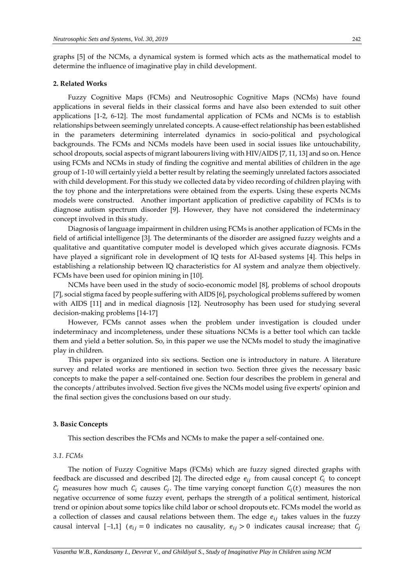graphs [5] of the NCMs, a dynamical system is formed which acts as the mathematical model to determine the influence of imaginative play in child development.

#### **2. Related Works**

Fuzzy Cognitive Maps (FCMs) and Neutrosophic Cognitive Maps (NCMs) have found applications in several fields in their classical forms and have also been extended to suit other applications [1-2, 6-12]. The most fundamental application of FCMs and NCMs is to establish relationships between seemingly unrelated concepts. A cause-effect relationship has been established in the parameters determining interrelated dynamics in socio-political and psychological backgrounds. The FCMs and NCMs models have been used in social issues like untouchability, school dropouts, social aspects of migrant labourers living with HIV/AIDS [7, 11, 13] and so on. Hence using FCMs and NCMs in study of finding the cognitive and mental abilities of children in the age group of 1-10 will certainly yield a better result by relating the seemingly unrelated factors associated with child development. For this study we collected data by video recording of children playing with the toy phone and the interpretations were obtained from the experts. Using these experts NCMs models were constructed. Another important application of predictive capability of FCMs is to diagnose autism spectrum disorder [9]. However, they have not considered the indeterminacy concept involved in this study.

Diagnosis of language impairment in children using FCMs is another application of FCMs in the field of artificial intelligence [3]. The determinants of the disorder are assigned fuzzy weights and a qualitative and quantitative computer model is developed which gives accurate diagnosis. FCMs have played a significant role in development of IQ tests for AI-based systems [4]. This helps in establishing a relationship between IQ characteristics for AI system and analyze them objectively. FCMs have been used for opinion mining in [10].

NCMs have been used in the study of socio-economic model [8], problems of school dropouts [7], social stigma faced by people suffering with AIDS [6], psychological problems suffered by women with AIDS [11] and in medical diagnosis [12]. Neutrosophy has been used for studying several decision-making problems [14-17]

However, FCMs cannot asses when the problem under investigation is clouded under indeterminacy and incompleteness, under these situations NCMs is a better tool which can tackle them and yield a better solution. So, in this paper we use the NCMs model to study the imaginative play in children.

This paper is organized into six sections. Section one is introductory in nature. A literature survey and related works are mentioned in section two. Section three gives the necessary basic concepts to make the paper a self-contained one. Section four describes the problem in general and the concepts / attributes involved. Section five gives the NCMs model using five experts' opinion and the final section gives the conclusions based on our study.

#### **3. Basic Concepts**

This section describes the FCMs and NCMs to make the paper a self-contained one.

#### *3.1. FCMs*

The notion of Fuzzy Cognitive Maps (FCMs) which are fuzzy signed directed graphs with feedback are discussed and described [2]. The directed edge  $e_{ij}$  from causal concept  $C_i$  to concept  $C_j$  measures how much  $C_i$  causes  $C_j$ . The time varying concept function  $C_i(t)$  measures the non negative occurrence of some fuzzy event, perhaps the strength of a political sentiment, historical trend or opinion about some topics like child labor or school dropouts etc. FCMs model the world as a collection of classes and causal relations between them. The edge  $e_{ij}$  takes values in the fuzzy causal interval  $[-1,1]$  ( $e_{ij} = 0$  indicates no causality,  $e_{ij} > 0$  indicates causal increase; that  $C_j$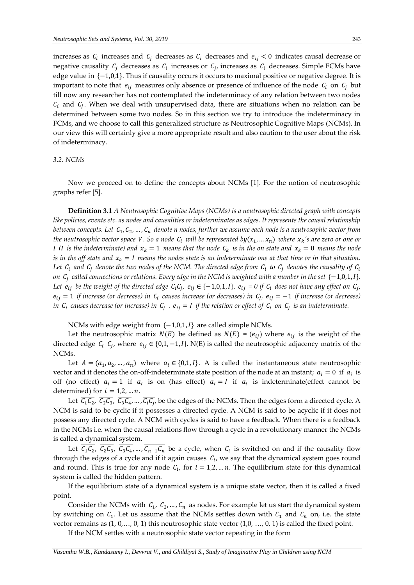increases as  $C_i$  increases and  $C_j$  decreases as  $C_i$  decreases and  $e_{ij} < 0$  indicates causal decrease or negative causality  $C_j$  decreases as  $C_i$  increases or  $C_j$ , increases as  $C_i$  decreases. Simple FCMs have edge value in  $\{-1,0,1\}$ . Thus if causality occurs it occurs to maximal positive or negative degree. It is important to note that  $e_{ij}$  measures only absence or presence of influence of the node  $C_i$  on  $C_j$  but till now any researcher has not contemplated the indeterminacy of any relation between two nodes  $C_i$  and  $C_j$ . When we deal with unsupervised data, there are situations when no relation can be determined between some two nodes. So in this section we try to introduce the indeterminacy in FCMs, and we choose to call this generalized structure as Neutrosophic Cognitive Maps (NCMs). In our view this will certainly give a more appropriate result and also caution to the user about the risk of indeterminacy.

# *3.2. NCMs*

Now we proceed on to define the concepts about NCMs [1]. For the notion of neutrosophic graphs refer [5].

**Definition 3.1** *A Neutrosophic Cognitive Maps (NCMs) is a neutrosophic directed graph with concepts like policies, events etc. as nodes and causalities or indeterminates as edges. It represents the causal relationship*  between concepts. Let C<sub>1</sub>, C<sub>2</sub>, …, C<sub>n</sub> denote n nodes, further we assume each node is a neutrosophic vector from the neutrosophic vector space V .So a node  $c_i$  will be represented by $(x_1, ... x_n)$  where  $x_k$ 's are zero or one or *I* (*I* is the indeterminate) and  $x_k = 1$  *means that the node*  $C_k$  *is in the on state and*  $x_k = 0$  *means the node is in the off state and*  $x_k = I$  means the nodes state is an indeterminate one at that time or in that situation. Let  $\,c_i\,$  and  $\,c_j\,$  denote the two nodes of the NCM. The directed edge from  $\,c_i\,$  to  $\,c_j\,$  denotes the causality of  $\,c_i\,$ *on C<sub>j</sub> called connections or relations. Every edge in the NCM is weighted with a number in the set {−1,0,1,1}.* Let  $e_{ij}$  be the weight of the directed edge  $C_iC_j$ ,  $e_{ij}\in\{-1,0,1,I\}$ .  $e_{ij}=0$  if  $C_i$  does not have any effect on  $C_j$ ,  $e_{ij} = 1$  *if increase (or decrease) in*  $C_i$  *causes increase (or decreases) in*  $C_j$ *,*  $e_{ij} = -1$  *if increase (or decrease) in*  $C_i$  *causes decrease (or increase) in*  $C_j$  *.*  $e_{ij} = I$  *if the relation or effect of*  $C_i$  *on*  $C_j$  *is an indeterminate.* 

NCMs with edge weight from  $\{-1,0,1,1\}$  are called simple NCMs.

Let the neutrosophic matrix  $N(E)$  be defined as  $N(E) = (e_{ij})$  where  $e_{ij}$  is the weight of the directed edge  $C_i$   $C_j$ , where  $e_{ij} \in \{0,1,-1,1\}$ . N(E) is called the neutrosophic adjacency matrix of the NCMs.

Let  $A = (a_1, a_2, ..., a_n)$  where  $a_i \in \{0, 1, I\}$ . A is called the instantaneous state neutrosophic vector and it denotes the on-off-indeterminate state position of the node at an instant;  $a_i = 0$  if  $a_i$  is off (no effect)  $a_i = 1$  if  $a_i$  is on (has effect)  $a_i = I$  if  $a_i$  is indeterminate (effect cannot be determined) for  $i = 1, 2, ..., n$ .

Let  $C_1C_2$ ,  $C_2C_3$ ,  $C_3C_4$ , ...,  $C_iC_j$ , be the edges of the NCMs. Then the edges form a directed cycle. A NCM is said to be cyclic if it possesses a directed cycle. A NCM is said to be acyclic if it does not possess any directed cycle. A NCM with cycles is said to have a feedback. When there is a feedback in the NCMs i.e. when the causal relations flow through a cycle in a revolutionary manner the NCMs is called a dynamical system.

Let  $C_1C_2$ ,  $C_2C_3$ ,  $C_3C_4$ , ...,  $C_{n-1}C_n$  be a cycle, when  $C_i$  is switched on and if the causality flow through the edges of a cycle and if it again causes  $c_i$ , we say that the dynamical system goes round and round. This is true for any node  $C_i$ , for  $i = 1, 2, \ldots n$ . The equilibrium state for this dynamical system is called the hidden pattern.

If the equilibrium state of a dynamical system is a unique state vector, then it is called a fixed point.

Consider the NCMs with  $C_1$ ,  $C_2$ , ...,  $C_n$  as nodes. For example let us start the dynamical system by switching on  $C_1$ . Let us assume that the NCMs settles down with  $C_1$  and  $C_n$  on, i.e. the state vector remains as  $(1, 0, \ldots, 0, 1)$  this neutrosophic state vector  $(1, 0, \ldots, 0, 1)$  is called the fixed point.

If the NCM settles with a neutrosophic state vector repeating in the form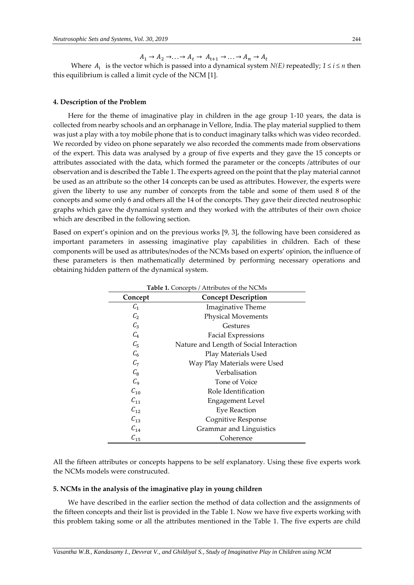$A_1 \rightarrow A_2 \rightarrow \ldots \rightarrow A_t \rightarrow A_{t+1} \rightarrow \ldots \rightarrow A_n \rightarrow A_t$ 

Where  $A_i$  is the vector which is passed into a dynamical system *N(E)* repeatedly;  $1 \le i \le n$  then this equilibrium is called a limit cycle of the NCM [1].

# **4. Description of the Problem**

Here for the theme of imaginative play in children in the age group 1-10 years, the data is collected from nearby schools and an orphanage in Vellore, India. The play material supplied to them was just a play with a toy mobile phone that is to conduct imaginary talks which was video recorded. We recorded by video on phone separately we also recorded the comments made from observations of the expert. This data was analysed by a group of five experts and they gave the 15 concepts or attributes associated with the data, which formed the parameter or the concepts /attributes of our observation and is described the Table 1. The experts agreed on the point that the play material cannot be used as an attribute so the other 14 concepts can be used as attributes. However, the experts were given the liberty to use any number of concepts from the table and some of them used 8 of the concepts and some only 6 and others all the 14 of the concepts. They gave their directed neutrosophic graphs which gave the dynamical system and they worked with the attributes of their own choice which are described in the following section.

Based on expert's opinion and on the previous works [9, 3], the following have been considered as important parameters in assessing imaginative play capabilities in children. Each of these components will be used as attributes/nodes of the NCMs based on experts' opinion, the influence of these parameters is then mathematically determined by performing necessary operations and obtaining hidden pattern of the dynamical system.

| Concept        | <b>Concept Description</b>              |
|----------------|-----------------------------------------|
| $C_1$          | Imaginative Theme                       |
| C <sub>2</sub> | <b>Physical Movements</b>               |
| $C_3$          | Gestures                                |
| $C_4$          | <b>Facial Expressions</b>               |
| $C_{5}$        | Nature and Length of Social Interaction |
| $C_6$          | Play Materials Used                     |
| $C_7$          | Way Play Materials were Used            |
| $C_{8}$        | Verbalisation                           |
| $C_{9}$        | Tone of Voice                           |
| $C_{10}$       | Role Identification                     |
| $C_{11}$       | <b>Engagement Level</b>                 |
| $C_{12}$       | <b>Eye Reaction</b>                     |
| $C_{13}$       | Cognitive Response                      |
| $C_{14}$       | Grammar and Linguistics                 |
| $C_{15}$       | Coherence                               |

| <b>Table 1.</b> Concepts / Attributes of the NCMs |  |
|---------------------------------------------------|--|
|                                                   |  |

All the fifteen attributes or concepts happens to be self explanatory. Using these five experts work the NCMs models were construcuted.

### **5. NCMs in the analysis of the imaginative play in young children**

We have described in the earlier section the method of data collection and the assignments of the fifteen concepts and their list is provided in the Table 1. Now we have five experts working with this problem taking some or all the attributes mentioned in the Table 1. The five experts are child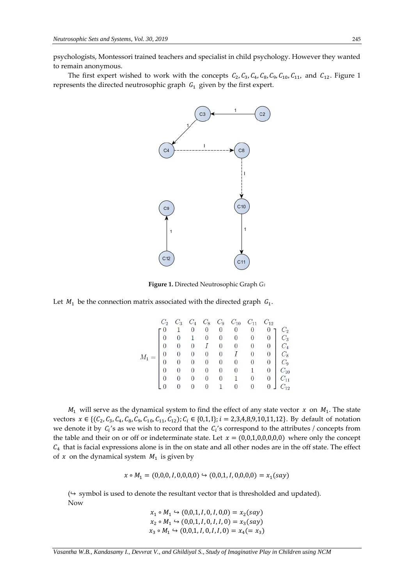psychologists, Montessori trained teachers and specialist in child psychology. However they wanted to remain anonymous.

The first expert wished to work with the concepts  $C_2$ ,  $C_3$ ,  $C_4$ ,  $C_8$ ,  $C_9$ ,  $C_{10}$ ,  $C_{11}$ , and  $C_{12}$ . Figure 1 represents the directed neutrosophic graph  $G_1$  given by the first expert.



**Figure 1.** Directed Neutrosophic Graph *G<sup>1</sup>*

Let  $M_1$  be the connection matrix associated with the directed graph  $G_1$ .

|  |  |  |  | $C_2$ $C_3$ $C_4$ $C_8$ $C_9$ $C_{10}$ $C_{11}$ $C_{12}$<br>$\begin{bmatrix} 0 & 1 & 0 & 0 & 0 & 0 & 0 & 0 & 0 \ 0 & 0 & 1 & 0 & 0 & 0 & 0 & 0 & 0 \ 0 & 0 & 0 & I & 0 & 0 & 0 & 0 & 0 \ 0 & 0 & 0 & 0 & 0 & I & 0 & 0 & 0 \ 0 & 0 & 0 & 0 & 0 & I & 0 & 0 & 0 \ 0 & 0 & 0 & 0 & 0 & 0 & 0 & 0 & 0 \ 0 & 0 & 0 & 0 & 0 & 0 & 1 & 0 & 0 \ 0 & 0 & 0 & 0 & 0 & 1 & 0 & 0 & 0 \ $ |
|--|--|--|--|--------------------------------------------------------------------------------------------------------------------------------------------------------------------------------------------------------------------------------------------------------------------------------------------------------------------------------------------------------------------------------|

 $M_1$  will serve as the dynamical system to find the effect of any state vector  $x$  on  $M_1$ . The state vectors  $x \in \{(C_2, C_3, C_4, C_8, C_9, C_{10}, C_{11}, C_{12})\}; C_i \in \{0, 1, 1\}; i = 2, 3, 4, 8, 9, 10, 11, 12\}.$  By default of notation we denote it by  $C_i$ 's as we wish to record that the  $C_i$ 's correspond to the attributes / concepts from the table and their on or off or indeterminate state. Let  $x = (0,0,1,0,0,0,0,0)$  where only the concept  $C_4$  that is facial expressions alone is in the on state and all other nodes are in the off state. The effect of  $x$  on the dynamical system  $M_1$  is given by

 $x \circ M_1 = (0,0,0,1,0,0,0,0) \hookrightarrow (0,0,1,1,0,0,0,0) = x_1(say)$ 

 $($  $\rightarrow$  symbol is used to denote the resultant vector that is thresholded and updated). Now

> $x_1 \circ M_1$  ↔ (0,0,1, *I*, 0,*I*, 0,0) =  $x_2(say)$  $x_2 \circ M_1 \hookrightarrow (0,0,1,1,0,1,1,0) = x_3(say)$  $x_3 \circ M_1 \hookrightarrow (0,0,1,1,0,1,1,0) = x_4 (= x_3)$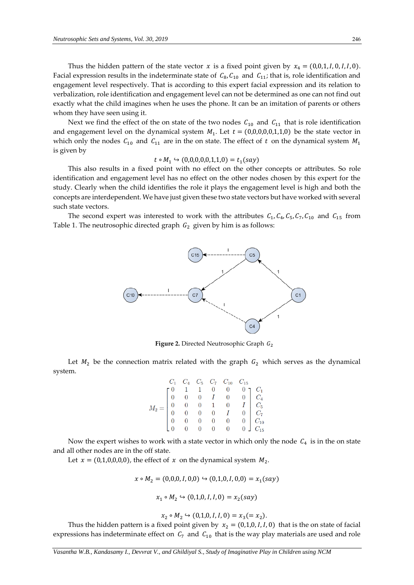Thus the hidden pattern of the state vector  $x$  is a fixed point given by  $x_4 = (0,0,1,1,0,1,1,0)$ . Facial expression results in the indeterminate state of  $C_8$ ,  $C_{10}$  and  $C_{11}$ ; that is, role identification and engagement level respectively. That is according to this expert facial expression and its relation to verbalization, role identification and engagement level can not be determined as one can not find out exactly what the child imagines when he uses the phone. It can be an imitation of parents or others whom they have seen using it.

Next we find the effect of the on state of the two nodes  $C_{10}$  and  $C_{11}$  that is role identification and engagement level on the dynamical system  $M_1$ . Let  $t = (0,0,0,0,0,1,1,0)$  be the state vector in which only the nodes  $C_{10}$  and  $C_{11}$  are in the on state. The effect of t on the dynamical system  $M_1$ is given by

$$
t \circ M_1 \hookrightarrow (0,0,0,0,0,1,1,0) = t_1(say)
$$

This also results in a fixed point with no effect on the other concepts or attributes. So role identification and engagement level has no effect on the other nodes chosen by this expert for the study. Clearly when the child identifies the role it plays the engagement level is high and both the concepts are interdependent. We have just given these two state vectors but have worked with several such state vectors.

The second expert was interested to work with the attributes  $C_1$ ,  $C_4$ ,  $C_5$ ,  $C_7$ ,  $C_{10}$  and  $C_{15}$  from Table 1. The neutrosophic directed graph  $G_2$  given by him is as follows:



**Figure 2.** Directed Neutrosophic Graph  $G_2$ 

Let  $M_2$  be the connection matrix related with the graph  $G_2$  which serves as the dynamical system.

| $M_2 = \begin{bmatrix} C_1 & C_4 & C_5 & C_7 & C_{10} & C_{15} \\ 0 & 1 & 1 & 0 & 0 & 0 \\ 0 & 0 & 0 & I & 0 & 0 \\ 0 & 0 & 0 & 1 & 0 & I \\ 0 & 0 & 0 & 0 & I & 0 \\ 0 & 0 & 0 & 0 & 0 & 0 \\ 0 & 0 & 0 & 0 & 0 & 0 \end{bmatrix} \begin{matrix} C_1 \\ C_4 \\ C_5 \\ C_7 \\ C_{10} \\ C_{10} \\ C_{15} \end{matrix}$ |  |  |  |  |
|------------------------------------------------------------------------------------------------------------------------------------------------------------------------------------------------------------------------------------------------------------------------------------------------------------------------|--|--|--|--|
|                                                                                                                                                                                                                                                                                                                        |  |  |  |  |
|                                                                                                                                                                                                                                                                                                                        |  |  |  |  |
|                                                                                                                                                                                                                                                                                                                        |  |  |  |  |
|                                                                                                                                                                                                                                                                                                                        |  |  |  |  |
|                                                                                                                                                                                                                                                                                                                        |  |  |  |  |

Now the expert wishes to work with a state vector in which only the node  $C_4$  is in the on state and all other nodes are in the off state.

Let  $x = (0,1,0,0,0,0)$ , the effect of  $x$  on the dynamical system  $M_2$ .

$$
x \circ M_2 = (0,0,0,1,0,0) \hookrightarrow (0,1,0,1,0,0) = x_1(say)
$$

$$
x_1 \circ M_2 \hookrightarrow (0,1,0,1,1,0) = x_2(say)
$$

$$
x_2 \circ M_2 \hookrightarrow (0,1,0,1,1,0) = x_3 (= x_2).
$$

Thus the hidden pattern is a fixed point given by  $x_2 = (0,1,0,1,1,0)$  that is the on state of facial expressions has indeterminate effect on  $C_7$  and  $C_{10}$  that is the way play materials are used and role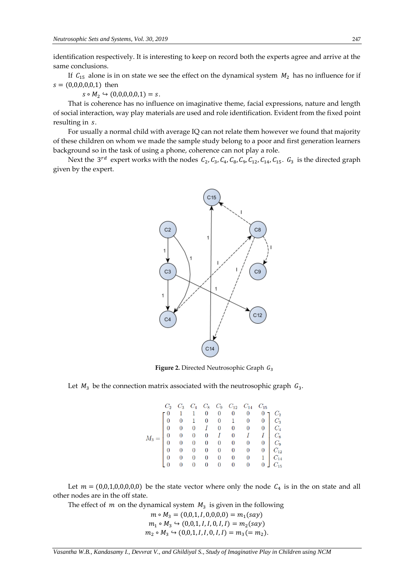identification respectively. It is interesting to keep on record both the experts agree and arrive at the same conclusions.

If  $C_{15}$  alone is in on state we see the effect on the dynamical system  $M_2$  has no influence for if  $s = (0,0,0,0,0,1)$  then

 $s \circ M_2 \hookrightarrow (0,0,0,0,0,1) = s.$ 

That is coherence has no influence on imaginative theme, facial expressions, nature and length of social interaction, way play materials are used and role identification. Evident from the fixed point resulting in s.

For usually a normal child with average IQ can not relate them however we found that majority of these children on whom we made the sample study belong to a poor and first generation learners background so in the task of using a phone, coherence can not play a role.

Next the  $3^{rd}$  expert works with the nodes  $C_2$ ,  $C_3$ ,  $C_4$ ,  $C_8$ ,  $C_9$ ,  $C_{12}$ ,  $C_{14}$ ,  $C_{15}$ .  $G_3$  is the directed graph given by the expert.



Figure 2. Directed Neutrosophic Graph  $G_3$ 

Let  $M_3$  be the connection matrix associated with the neutrosophic graph  $G_3$ .

Let  $m = (0,0,1,0,0,0,0,0)$  be the state vector where only the node  $C_4$  is in the on state and all other nodes are in the off state.

The effect of  $m$  on the dynamical system  $M_3$  is given in the following

 $m \circ M_3 = (0,0,1,1,0,0,0,0) = m_1(say)$  $m_1 \circ M_3 \hookrightarrow (0,0,1,1,1,0,1,1) = m_2(say)$  $m_2 \circ M_3 \hookrightarrow (0,0,1,1,1,0,1,1) = m_3 (= m_2).$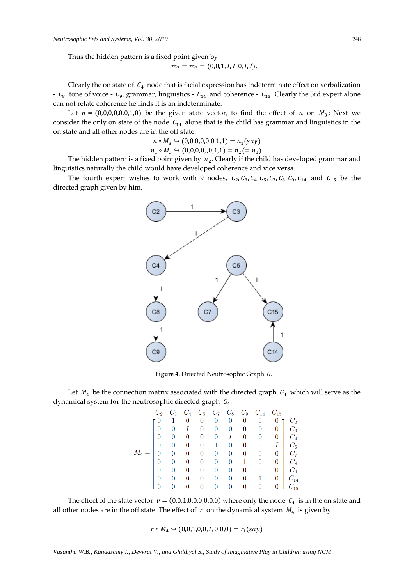Thus the hidden pattern is a fixed point given by

$$
m_2 = m_3 = (0,0,1,1,1,0,1,1).
$$

Clearly the on state of  $C_4$  node that is facial expression has indeterminate effect on verbalization -  $C_8$ , tone of voice -  $C_9$ , grammar, linguistics -  $C_{14}$  and coherence -  $C_{15}$ . Clearly the 3rd expert alone can not relate coherence he finds it is an indeterminate.

Let  $n = (0,0,0,0,0,0,1,0)$  be the given state vector, to find the effect of  $n$  on  $M_3$ ; Next we consider the only on state of the node  $C_{14}$  alone that is the child has grammar and linguistics in the on state and all other nodes are in the off state.

$$
n \circ M_3 \hookrightarrow (0,0,0,0,0,1,1) = n_1(say)
$$
  

$$
n_1 \circ M_3 \hookrightarrow (0,0,0,0,0,1,1) = n_2 (= n_1).
$$

The hidden pattern is a fixed point given by  $n_2$ . Clearly if the child has developed grammar and linguistics naturally the child would have developed coherence and vice versa.

The fourth expert wishes to work with 9 nodes,  $C_2$ ,  $C_3$ ,  $C_4$ ,  $C_5$ ,  $C_7$ ,  $C_8$ ,  $C_9$ ,  $C_{14}$  and  $C_{15}$  be the directed graph given by him.



Figure 4. Directed Neutrosophic Graph  $G_4$ 

Let  $M_4$  be the connection matrix associated with the directed graph  $G_4$  which will serve as the dynamical system for the neutrosophic directed graph  $G_4$ .

|    |   |                  |                |             |                  |                             | $C_3$ $C_4$ $C_5$ $C_7$ $C_8$ $C_9$ $C_{14}$ $C_{15}$                                                                                                                                                                                                                                                              |                 |
|----|---|------------------|----------------|-------------|------------------|-----------------------------|--------------------------------------------------------------------------------------------------------------------------------------------------------------------------------------------------------------------------------------------------------------------------------------------------------------------|-----------------|
| г0 |   |                  |                |             |                  |                             |                                                                                                                                                                                                                                                                                                                    | $\mathcal{C}_2$ |
|    |   |                  |                |             |                  |                             |                                                                                                                                                                                                                                                                                                                    |                 |
|    |   |                  |                |             |                  |                             |                                                                                                                                                                                                                                                                                                                    |                 |
|    |   |                  |                |             |                  |                             |                                                                                                                                                                                                                                                                                                                    |                 |
|    |   |                  |                |             |                  |                             |                                                                                                                                                                                                                                                                                                                    |                 |
|    |   |                  |                |             |                  |                             | $\begin{bmatrix} 0 & 1 & 0 & 0 & 0 & 0 & 0 & 0 & 0 & 0 \ 0 & 0 & I & 0 & 0 & 0 & 0 & 0 & 0 & 0 \ 0 & 0 & 0 & 0 & 0 & I & 0 & 0 & 0 & 0 \ 0 & 0 & 0 & 0 & 1 & 0 & 0 & 0 & I & 0 \ 0 & 0 & 0 & 0 & 0 & 0 & 0 & 0 & 0 & 0 \ 0 & 0 & 0 & 0 & 0 & 0 & 0 & 0 & 0 & 0 \ 0 & 0 & 0 & 0 & 0 & 0 & 0 & 0 & 0 & 0 \ 0 & 0 & $ |                 |
|    |   |                  |                |             |                  |                             |                                                                                                                                                                                                                                                                                                                    |                 |
|    | 0 | $\boldsymbol{0}$ | $\overline{0}$ |             |                  | $0 \quad 0 \quad 0 \quad 1$ | $\mathbf{0}$                                                                                                                                                                                                                                                                                                       | $C_{14}$        |
|    |   |                  | $\overline{0}$ | $0\qquad 0$ | $\boldsymbol{0}$ | 0                           | 0                                                                                                                                                                                                                                                                                                                  | $C_{15}$        |

The effect of the state vector  $v = (0,0,1,0,0,0,0,0,0)$  where only the node  $C_4$  is in the on state and all other nodes are in the off state. The effect of  $r$  on the dynamical system  $M_4$  is given by

 $r \circ M_4 \hookrightarrow (0,0,1,0,0,1,0,0,0) = r_1(say)$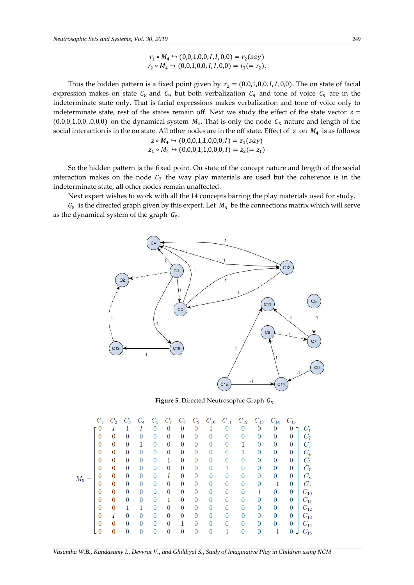$$
r_1 \circ M_4 \hookrightarrow (0,0,1,0,0,1,1,0,0) = r_2(say)
$$
  

$$
r_2 \circ M_4 \hookrightarrow (0,0,1,0,0,1,1,0,0) = r_3 (= r_2).
$$

Thus the hidden pattern is a fixed point given by  $r_2 = (0,0,1,0,0,1,1,0,0)$ . The on state of facial expression makes on state  $C_8$  and  $C_9$  but both verbalization  $C_8$  and tone of voice  $C_9$  are in the indeterminate state only. That is facial expressions makes verbalization and tone of voice only to indeterminate state, rest of the states remain off. Next we study the effect of the state vector  $z =$  $(0,0,0,1,0,0,0,0,0)$  on the dynamical system  $M_4$ . That is only the node  $C_5$  nature and length of the social interaction is in the on state. All other nodes are in the off state. Effect of  $z$  on  $M_4$  is as follows:  $M \nightharpoonup (0,0,0,1,1,0,0,0) = z$  (say)

$$
z \circ M_4 \hookrightarrow (0,0,0,1,1,0,0,0,1) = z_1(say)
$$
  

$$
z_1 \circ M_4 \hookrightarrow (0,0,0,1,1,0,0,0,1) = z_2 (= z_1)
$$

So the hidden pattern is the fixed point. On state of the concept nature and length of the social interaction makes on the node  $C_7$  the way play materials are used but the coherence is in the indeterminate state, all other nodes remain unaffected.

Next expert wishes to work with all the 14 concepts barring the play materials used for study.

 $G_5$  is the directed graph given by this expert. Let  $M_5$  be the connections matrix which will serve as the dynamical system of the graph  $G_5$ .



**Figure 5.** Directed Neutrosophic Graph  $G_5$ 

|         | $C_1$          | $C_2$          | $C_3$          | $C_4$          | $C_5$          | $C_7$          | $C_8$          | $C_9$            | $C_{10}$       | $C_{11}$         | $C_{12}$         | $C_{13}$         | $C_{14}$       | $C_{15}$       |          |
|---------|----------------|----------------|----------------|----------------|----------------|----------------|----------------|------------------|----------------|------------------|------------------|------------------|----------------|----------------|----------|
|         | г0             | I              |                |                | $\theta$       | $\overline{0}$ | $\theta$       | $\boldsymbol{0}$ | 1              | $\boldsymbol{0}$ | $\theta$         | $\theta$         | $\theta$       | $\Omega$       | $C_1$    |
|         | $\overline{0}$ | $\theta$       | $\Omega$       | $\theta$       | $\overline{0}$ | $\overline{0}$ | $\overline{0}$ | $\overline{0}$   | $\overline{0}$ | $\overline{0}$   | $\overline{0}$   | $\overline{0}$   | $\overline{0}$ | 0              | $C_2$    |
|         | $\overline{0}$ | $\overline{0}$ | $\overline{0}$ | 1              | $\overline{0}$ | $\overline{0}$ | $\overline{0}$ | $\boldsymbol{0}$ | $\overline{0}$ | $\boldsymbol{0}$ | 1                | $\boldsymbol{0}$ | $\overline{0}$ | 0              | $C_3$    |
|         | $\overline{0}$ | $\overline{0}$ | $\overline{0}$ | $\overline{0}$ | $\overline{0}$ | $\overline{0}$ | $\overline{0}$ | $\overline{0}$   | $\overline{0}$ | $\overline{0}$   |                  | $\overline{0}$   | $\overline{0}$ | 0              | $C_{4}$  |
|         | $\overline{0}$ | $\overline{0}$ | $\overline{0}$ | $\theta$       | $\theta$       | 1              | $\theta$       | $\overline{0}$   | $\overline{0}$ | $\overline{0}$   | $\theta$         | $\theta$         | $\theta$       | $\theta$       | $C_{5}$  |
|         | $\overline{0}$ | $\overline{0}$ | $\overline{0}$ | $\overline{0}$ | $\overline{0}$ | 0              | $\overline{0}$ | $\overline{0}$   | $\overline{0}$ |                  | $\overline{0}$   | $\overline{0}$   | $\overline{0}$ | $\overline{0}$ | $C_7$    |
| $M_5 =$ | $\overline{0}$ | $\theta$       | $\overline{0}$ | $\overline{0}$ | $\overline{0}$ | Ι              | $\overline{0}$ | $\overline{0}$   | $\overline{0}$ | $\overline{0}$   | $\overline{0}$   | $\overline{0}$   | $\overline{0}$ | $\overline{0}$ | $C_{8}$  |
|         | $\overline{0}$ | $\overline{0}$ | $\overline{0}$ | $\overline{0}$ | $\overline{0}$ | $\overline{0}$ | $\overline{0}$ | $\boldsymbol{0}$ | $\overline{0}$ | $\overline{0}$   | $\overline{0}$   | $\overline{0}$   | -1             | $\overline{0}$ | $C_9$    |
|         | $\theta$       | $\overline{0}$ | $\overline{0}$ | $\theta$       | $\overline{0}$ | $\overline{0}$ | $\overline{0}$ | $\overline{0}$   | $\Omega$       | $\boldsymbol{0}$ | $\overline{0}$   |                  | $\theta$       | $\overline{0}$ | $C_{10}$ |
|         | $\overline{0}$ | $\overline{0}$ | $\overline{0}$ | $\overline{0}$ | $\overline{0}$ | 1              | $\overline{0}$ | $\overline{0}$   | $\overline{0}$ | $\overline{0}$   | $\overline{0}$   | $\overline{0}$   | $\overline{0}$ | $\overline{0}$ | $C_{11}$ |
|         | $\overline{0}$ | $\theta$       | 1              |                | $\overline{0}$ | $\overline{0}$ | $\overline{0}$ | $\overline{0}$   | $\overline{0}$ | $\overline{0}$   | $\overline{0}$   | $\theta$         | $\theta$       | $\theta$       | $C_{12}$ |
|         | $\overline{0}$ | Ι              | $\overline{0}$ | $\overline{0}$ | $\overline{0}$ | $\overline{0}$ | $\overline{0}$ | $\overline{0}$   | $\overline{0}$ | $\overline{0}$   | $\boldsymbol{0}$ | $\overline{0}$   | 0              | $\overline{0}$ | $C_{13}$ |
|         | $\overline{0}$ | $\theta$       | $\overline{0}$ | $\theta$       | $\overline{0}$ | $\overline{0}$ | 1              | $\overline{0}$   | $\overline{0}$ | $\overline{0}$   | $\overline{0}$   | $\overline{0}$   | $\overline{0}$ | $\overline{0}$ | $C_{14}$ |
|         | $\overline{0}$ | $\overline{0}$ | $\overline{0}$ | $\overline{0}$ | $\overline{0}$ | 0              | 0              | $\boldsymbol{0}$ | $\overline{0}$ |                  | $\overline{0}$   | $\overline{0}$   |                | $\overline{0}$ | $C_{15}$ |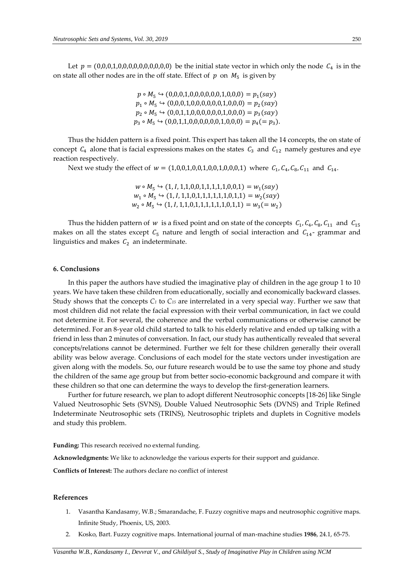Let  $p = (0,0,0,1,0,0,0,0,0,0,0,0,0,0)$  be the initial state vector in which only the node  $C_4$  is in the on state all other nodes are in the off state. Effect of  $p$  on  $M_5$  is given by

> $p \circ M_5 \hookrightarrow (0,0,0,1,0,0,0,0,0,0,1,0,0,0) = p_1(say)$  $p_1 \circ M_5 \hookrightarrow (0,0,0,1,0,0,0,0,0,1,0,0,0) = p_2(say)$  $p_2 \circ M_5 \hookrightarrow (0,0,1,1,0,0,0,0,0,1,0,0,0) = p_3(say)$  $p_3 \circ M_5 \hookrightarrow (0,0,1,1,0,0,0,0,0,1,0,0,0) = p_4 (= p_3).$

Thus the hidden pattern is a fixed point. This expert has taken all the 14 concepts, the on state of concept  $C_4$  alone that is facial expressions makes on the states  $C_3$  and  $C_{12}$  namely gestures and eye reaction respectively.

Next we study the effect of  $w = (1,0,0,1,0,0,1,0,0,1,0,0,0,1)$  where  $C_1, C_4, C_8, C_{11}$  and  $C_{14}$ .

 $w \circ M_5 \hookrightarrow (1, I, 1, 1, 0, 0, 1, 1, 1, 1, 1, 0, 0, 1) = w_1(sav)$  $W_1 \circ M_5 \hookrightarrow (1, I, 1, 1, 0, 1, 1, 1, 1, 1, 0, 1, 1) = W_2(say)$  $W_2 \circ M_5 \hookrightarrow (1, I, 1, 1, 0, 1, 1, 1, 1, 1, 1, 0, 1, 1) = W_3(= W_2)$ 

Thus the hidden pattern of w is a fixed point and on state of the concepts  $C_1$ ,  $C_4$ ,  $C_8$ ,  $C_{11}$  and  $C_{15}$ makes on all the states except  $C_5$  nature and length of social interaction and  $C_{14}$ - grammar and linguistics and makes  $C_2$  an indeterminate.

#### **6. Conclusions**

In this paper the authors have studied the imaginative play of children in the age group 1 to 10 years. We have taken these children from educationally, socially and economically backward classes. Study shows that the concepts  $C_1$  to  $C_1$ <sub>5</sub> are interrelated in a very special way. Further we saw that most children did not relate the facial expression with their verbal communication, in fact we could not determine it. For several, the coherence and the verbal communications or otherwise cannot be determined. For an 8-year old child started to talk to his elderly relative and ended up talking with a friend in less than 2 minutes of conversation. In fact, our study has authentically revealed that several concepts/relations cannot be determined. Further we felt for these children generally their overall ability was below average. Conclusions of each model for the state vectors under investigation are given along with the models. So, our future research would be to use the same toy phone and study the children of the same age group but from better socio-economic background and compare it with these children so that one can determine the ways to develop the first-generation learners.

Further for future research, we plan to adopt different Neutrosophic concepts [18-26] like Single Valued Neutrosophic Sets (SVNS), Double Valued Neutrosophic Sets (DVNS) and Triple Refined Indeterminate Neutrosophic sets (TRINS), Neutrosophic triplets and duplets in Cognitive models and study this problem.

**Funding:** This research received no external funding.

**Acknowledgments:** We like to acknowledge the various experts for their support and guidance.

**Conflicts of Interest:** The authors declare no conflict of interest

# **References**

- 1. Vasantha Kandasamy, W.B.; Smarandache, F. Fuzzy cognitive maps and neutrosophic cognitive maps. Infinite Study, Phoenix, US, 2003.
- 2. Kosko, Bart. Fuzzy cognitive maps. International journal of man-machine studies **1986**, 24.1, 65-75.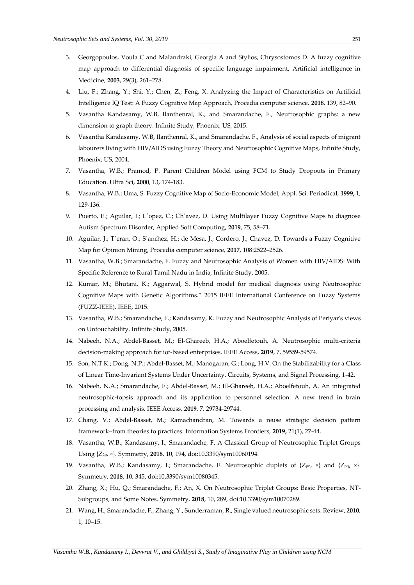- 3. Georgopoulos, Voula C and Malandraki, Georgia A and Stylios, Chrysostomos D. A fuzzy cognitive map approach to differential diagnosis of specific language impairment, Artificial intelligence in Medicine, **2003**, 29(3), 261–278.
- 4. Liu, F.; Zhang, Y.; Shi, Y.; Chen, Z.; Feng, X. Analyzing the Impact of Characteristics on Artificial Intelligence IQ Test: A Fuzzy Cognitive Map Approach, Procedia computer science, **2018**, 139, 82–90.
- 5. Vasantha Kandasamy, W.B, Ilanthenral, K., and Smarandache, F., Neutrosophic graphs: a new dimension to graph theory. Infinite Study, Phoenix, US, 2015.
- 6. Vasantha Kandasamy, W.B, Ilanthenral, K., and Smarandache, F., Analysis of social aspects of migrant labourers living with HIV/AIDS using Fuzzy Theory and Neutrosophic Cognitive Maps, Infinite Study, Phoenix, US, 2004.
- 7. Vasantha, W.B.; Pramod, P. Parent Children Model using FCM to Study Dropouts in Primary Education. Ultra Sci, **2000**, 13, 174-183.
- 8. Vasantha, W.B.; Uma, S. Fuzzy Cognitive Map of Socio-Economic Model, Appl. Sci. Periodical, **1999,** 1, 129-136.
- 9. Puerto, E.; Aguilar, J.; L´opez, C.; Ch´avez, D. Using Multilayer Fuzzy Cognitive Maps to diagnose Autism Spectrum Disorder, Applied Soft Computing, **2019**, 75, 58–71.
- 10. Aguilar, J.; T´eran, O.; S´anchez, H.; de Mesa, J.; Cordero, J.; Chavez, D. Towards a Fuzzy Cognitive Map for Opinion Mining, Procedia computer science, **2017**, 108:2522–2526.
- 11. Vasantha, W.B.; Smarandache, F. Fuzzy and Neutrosophic Analysis of Women with HIV/AIDS: With Specific Reference to Rural Tamil Nadu in India, Infinite Study, 2005.
- 12. Kumar, M.; Bhutani, K.; Aggarwal, S. Hybrid model for medical diagnosis using Neutrosophic Cognitive Maps with Genetic Algorithms." 2015 IEEE International Conference on Fuzzy Systems (FUZZ-IEEE). IEEE, 2015.
- 13. Vasantha, W.B.; Smarandache, F.; Kandasamy, K. Fuzzy and Neutrosophic Analysis of Periyar's views on Untouchability. Infinite Study, 2005.
- 14. Nabeeh, N.A.; Abdel-Basset, M.; El-Ghareeb, H.A.; Aboelfetouh, A. Neutrosophic multi-criteria decision-making approach for iot-based enterprises. IEEE Access, **2019**, 7, 59559-59574.
- 15. Son, N.T.K.; Dong, N.P.; Abdel-Basset, M.; Manogaran, G.; Long, H.V. On the Stabilizability for a Class of Linear Time-Invariant Systems Under Uncertainty. Circuits, Systems, and Signal Processing, 1-42.
- 16. Nabeeh, N.A.; Smarandache, F.; Abdel-Basset, M.; El-Ghareeb, H.A.; Aboelfetouh, A. An integrated neutrosophic-topsis approach and its application to personnel selection: A new trend in brain processing and analysis. IEEE Access, **2019**, 7, 29734-29744.
- 17. Chang, V.; Abdel-Basset, M.; Ramachandran, M. Towards a reuse strategic decision pattern framework–from theories to practices. Information Systems Frontiers, **2019,** 21(1), 27-44.
- 18. Vasantha, W.B.; Kandasamy, I.; Smarandache, F. A Classical Group of Neutrosophic Triplet Groups Using {Z2p, ×}. Symmetry, **2018**, 10, 194, doi:10.3390/sym10060194.
- 19. Vasantha, W.B.; Kandasamy, I.; Smarandache, F. Neutrosophic duplets of  $\{Z_{\text{pn}} \times \}$  and  $\{Z_{\text{pq}} \times \}$ . Symmetry, **2018**, 10, 345, doi:10.3390/sym10080345.
- 20. Zhang, X.; Hu, Q.; Smarandache, F.; An, X. On Neutrosophic Triplet Groups: Basic Properties, NT-Subgroups, and Some Notes. Symmetry, **2018**, 10, 289, doi:10.3390/sym10070289.
- 21. Wang, H., Smarandache, F., Zhang, Y., Sunderraman, R., Single valued neutrosophic sets. Review, **2010**, 1, 10–15.